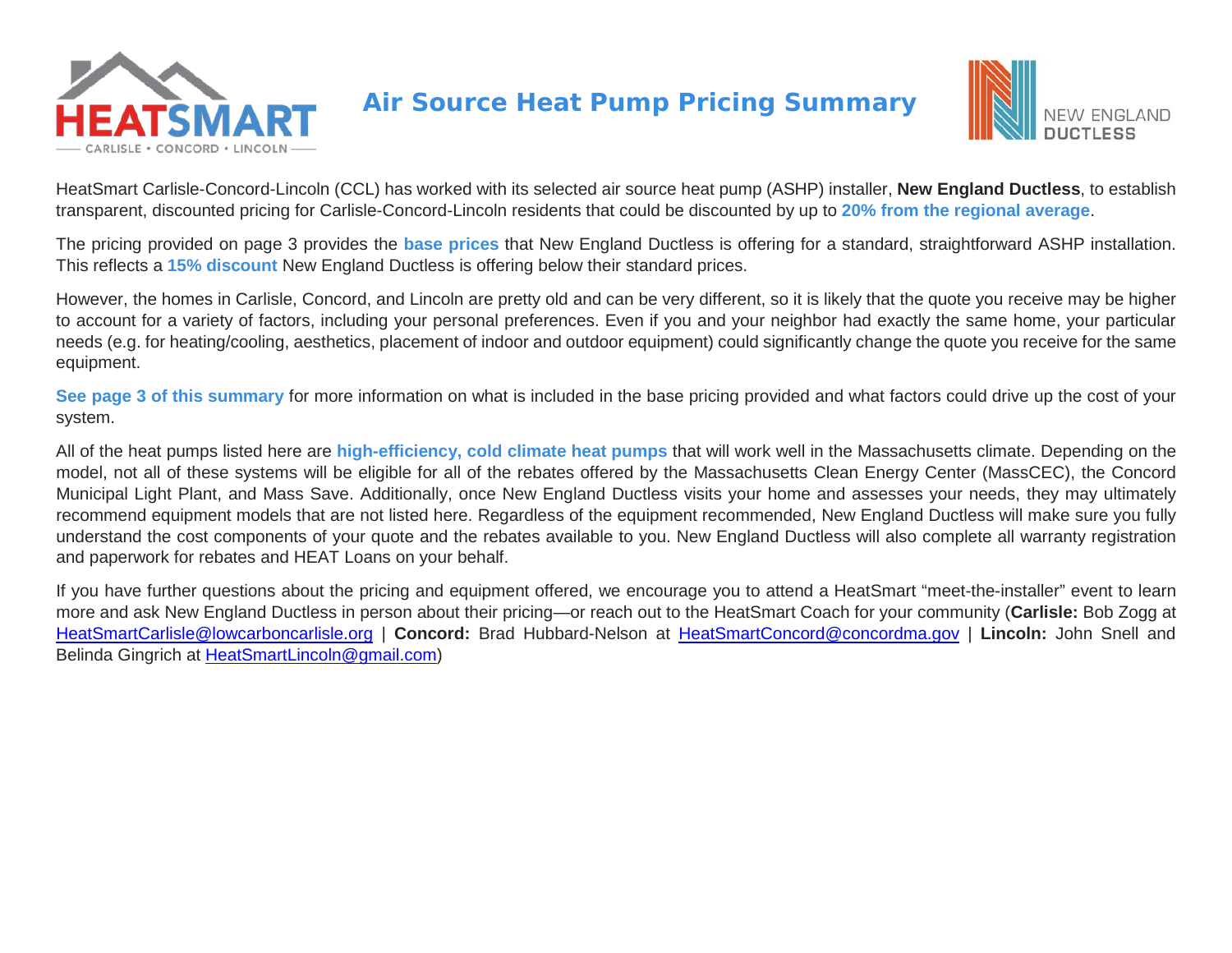



HeatSmart Carlisle-Concord-Lincoln (CCL) has worked with its selected air source heat pump (ASHP) installer, **New England Ductless**, to establish transparent, discounted pricing for Carlisle-Concord-Lincoln residents that could be discounted by up to **20% from the regional average**.

The pricing provided on page 3 provides the **base prices** that New England Ductless is offering for a standard, straightforward ASHP installation. This reflects a **15% discount** New England Ductless is offering below their standard prices.

However, the homes in Carlisle, Concord, and Lincoln are pretty old and can be very different, so it is likely that the quote you receive may be higher to account for a variety of factors, including your personal preferences. Even if you and your neighbor had exactly the same home, your particular needs (e.g. for heating/cooling, aesthetics, placement of indoor and outdoor equipment) could significantly change the quote you receive for the same equipment.

**See page 3 of this summary** for more information on what is included in the base pricing provided and what factors could drive up the cost of your system.

All of the heat pumps listed here are **high-efficiency, cold climate heat pumps** that will work well in the Massachusetts climate. Depending on the model, not all of these systems will be eligible for all of the rebates offered by the Massachusetts Clean Energy Center (MassCEC), the Concord Municipal Light Plant, and Mass Save. Additionally, once New England Ductless visits your home and assesses your needs, they may ultimately recommend equipment models that are not listed here. Regardless of the equipment recommended, New England Ductless will make sure you fully understand the cost components of your quote and the rebates available to you. New England Ductless will also complete all warranty registration and paperwork for rebates and HEAT Loans on your behalf.

If you have further questions about the pricing and equipment offered, we encourage you to attend a HeatSmart "meet-the-installer" event to learn more and ask New England Ductless in person about their pricing—or reach out to the HeatSmart Coach for your community (**Carlisle:** Bob Zogg at [HeatSmartCarlisle@lowcarboncarlisle.org](mailto:HeatSmartCarlisle@lowcarboncarlisle.org) | **Concord:** Brad Hubbard-Nelson at [HeatSmartConcord@concordma.gov](mailto:HeatSmartConcord@concordma.gov) | **Lincoln:** John Snell and Belinda Gingrich at [HeatSmartLincoln@gmail.com\)](mailto:HeatSmartLincoln@gmail.com)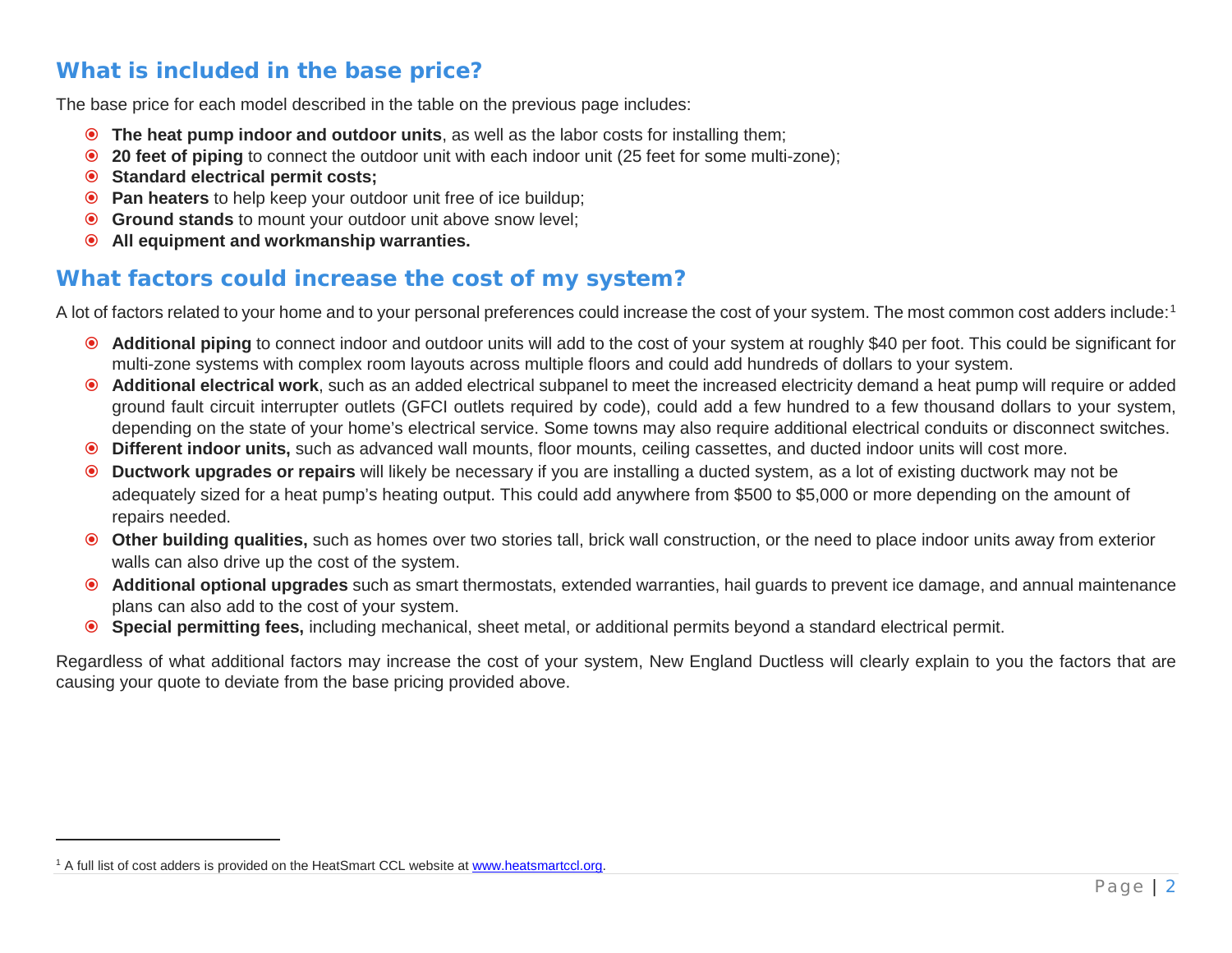## <span id="page-1-0"></span>**What is included in the base price?**

The base price for each model described in the table on the previous page includes:

- **The heat pump indoor and outdoor units**, as well as the labor costs for installing them;
- **20 feet of piping** to connect the outdoor unit with each indoor unit (25 feet for some multi-zone);
- **Standard electrical permit costs;**
- **Pan heaters** to help keep your outdoor unit free of ice buildup;
- **Ground stands** to mount your outdoor unit above snow level;
- **All equipment and workmanship warranties.**

## **What factors could increase the cost of my system?**

A lot of factors related to your home and to your personal preferences could increase the cost of your system. The most common cost adders include:<sup>[1](#page-1-0)</sup>

- **Additional piping** to connect indoor and outdoor units will add to the cost of your system at roughly \$40 per foot. This could be significant for multi-zone systems with complex room layouts across multiple floors and could add hundreds of dollars to your system.
- **Additional electrical work**, such as an added electrical subpanel to meet the increased electricity demand a heat pump will require or added ground fault circuit interrupter outlets (GFCI outlets required by code), could add a few hundred to a few thousand dollars to your system, depending on the state of your home's electrical service. Some towns may also require additional electrical conduits or disconnect switches.
- **Different indoor units,** such as advanced wall mounts, floor mounts, ceiling cassettes, and ducted indoor units will cost more.
- **Ductwork upgrades or repairs** will likely be necessary if you are installing a ducted system, as a lot of existing ductwork may not be adequately sized for a heat pump's heating output. This could add anywhere from \$500 to \$5,000 or more depending on the amount of repairs needed.
- **Other building qualities,** such as homes over two stories tall, brick wall construction, or the need to place indoor units away from exterior walls can also drive up the cost of the system.
- **Additional optional upgrades** such as smart thermostats, extended warranties, hail guards to prevent ice damage, and annual maintenance plans can also add to the cost of your system.
- **Special permitting fees,** including mechanical, sheet metal, or additional permits beyond a standard electrical permit.

Regardless of what additional factors may increase the cost of your system, New England Ductless will clearly explain to you the factors that are causing your quote to deviate from the base pricing provided above.

l,

<sup>&</sup>lt;sup>1</sup> A full list of cost adders is provided on the HeatSmart CCL website a[t www.heatsmartccl.org.](http://www.heatsmartccl.org/)